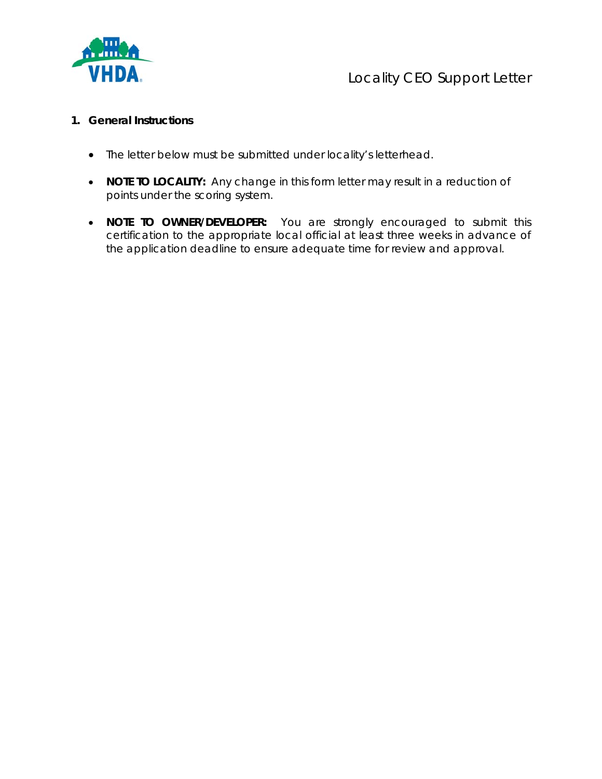

## Locality CEO Support Letter

## **1. General Instructions**

- The letter below must be submitted under locality's letterhead.
- **NOTE TO LOCALITY:** Any change in this form letter may result in a reduction of points under the scoring system.
- **NOTE TO OWNER/DEVELOPER:** You are strongly encouraged to submit this certification to the appropriate local official at least three weeks in advance of the application deadline to ensure adequate time for review and approval.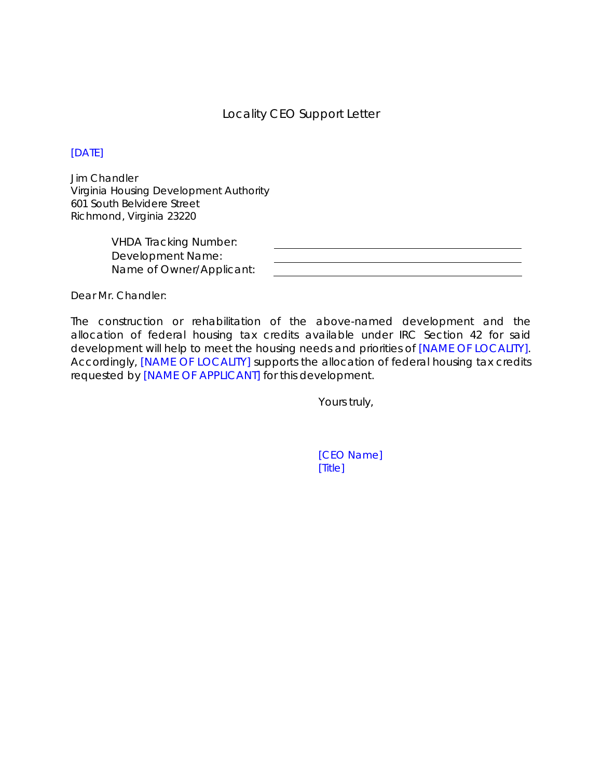## Locality CEO Support Letter

## [DATE]

Jim Chandler Virginia Housing Development Authority 601 South Belvidere Street Richmond, Virginia 23220

> VHDA Tracking Number: Development Name: Name of Owner/Applicant:

Dear Mr. Chandler:

The construction or rehabilitation of the above-named development and the allocation of federal housing tax credits available under IRC Section 42 for said development will help to meet the housing needs and priorities of [NAME OF LOCALITY]. Accordingly, [NAME OF LOCALITY] supports the allocation of federal housing tax credits requested by [NAME OF APPLICANT] for this development.

Yours truly,

[CEO Name] [Title]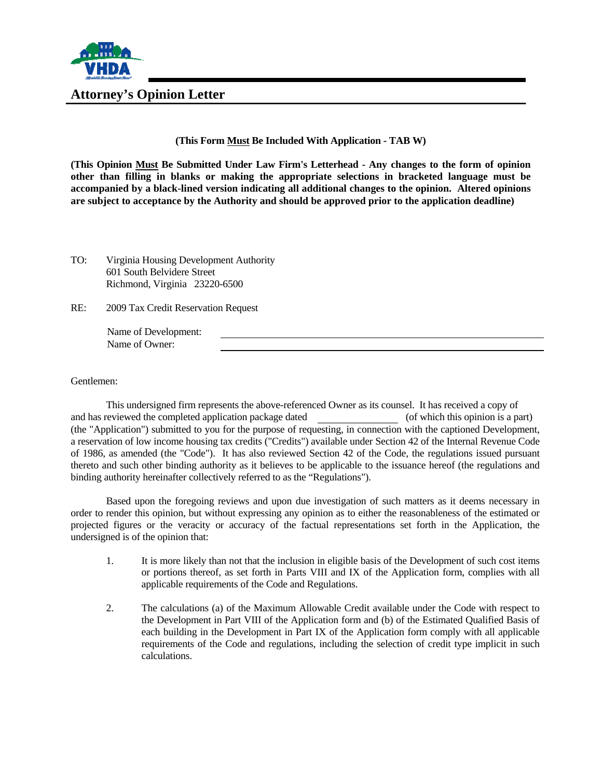

**Attorney's Opinion Letter** 

**(This Form Must Be Included With Application - TAB W)** 

**(This Opinion Must Be Submitted Under Law Firm's Letterhead - Any changes to the form of opinion other than filling in blanks or making the appropriate selections in bracketed language must be accompanied by a black-lined version indicating all additional changes to the opinion. Altered opinions are subject to acceptance by the Authority and should be approved prior to the application deadline)**

- TO: Virginia Housing Development Authority 601 South Belvidere Street Richmond, Virginia 23220-6500
- RE: 2009 Tax Credit Reservation Request

Name of Development: Name of Owner:

Gentlemen:

This undersigned firm represents the above-referenced Owner as its counsel. It has received a copy of and has reviewed the completed application package dated (of which this opinion is a part) (the "Application") submitted to you for the purpose of requesting, in connection with the captioned Development, a reservation of low income housing tax credits ("Credits") available under Section 42 of the Internal Revenue Code of 1986, as amended (the "Code"). It has also reviewed Section 42 of the Code, the regulations issued pursuant thereto and such other binding authority as it believes to be applicable to the issuance hereof (the regulations and binding authority hereinafter collectively referred to as the "Regulations").

Based upon the foregoing reviews and upon due investigation of such matters as it deems necessary in order to render this opinion, but without expressing any opinion as to either the reasonableness of the estimated or projected figures or the veracity or accuracy of the factual representations set forth in the Application, the undersigned is of the opinion that:

- 1. It is more likely than not that the inclusion in eligible basis of the Development of such cost items or portions thereof, as set forth in Parts VIII and IX of the Application form, complies with all applicable requirements of the Code and Regulations.
- 2. The calculations (a) of the Maximum Allowable Credit available under the Code with respect to the Development in Part VIII of the Application form and (b) of the Estimated Qualified Basis of each building in the Development in Part IX of the Application form comply with all applicable requirements of the Code and regulations, including the selection of credit type implicit in such calculations.